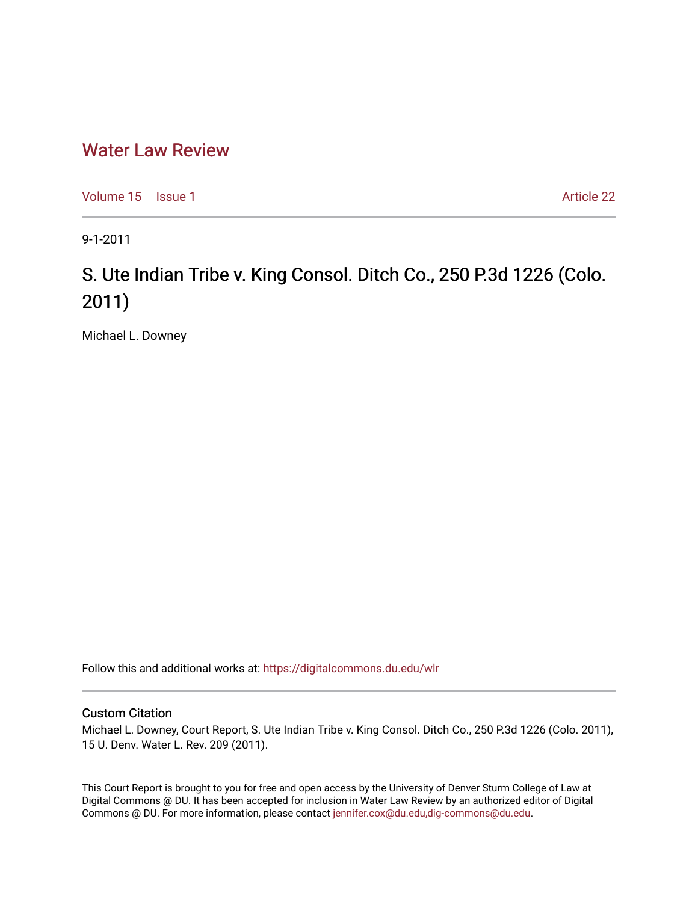## [Water Law Review](https://digitalcommons.du.edu/wlr)

[Volume 15](https://digitalcommons.du.edu/wlr/vol15) | [Issue 1](https://digitalcommons.du.edu/wlr/vol15/iss1) Article 22

9-1-2011

## S. Ute Indian Tribe v. King Consol. Ditch Co., 250 P.3d 1226 (Colo. 2011)

Michael L. Downey

Follow this and additional works at: [https://digitalcommons.du.edu/wlr](https://digitalcommons.du.edu/wlr?utm_source=digitalcommons.du.edu%2Fwlr%2Fvol15%2Fiss1%2F22&utm_medium=PDF&utm_campaign=PDFCoverPages) 

## Custom Citation

Michael L. Downey, Court Report, S. Ute Indian Tribe v. King Consol. Ditch Co., 250 P.3d 1226 (Colo. 2011), 15 U. Denv. Water L. Rev. 209 (2011).

This Court Report is brought to you for free and open access by the University of Denver Sturm College of Law at Digital Commons @ DU. It has been accepted for inclusion in Water Law Review by an authorized editor of Digital Commons @ DU. For more information, please contact [jennifer.cox@du.edu,dig-commons@du.edu.](mailto:jennifer.cox@du.edu,dig-commons@du.edu)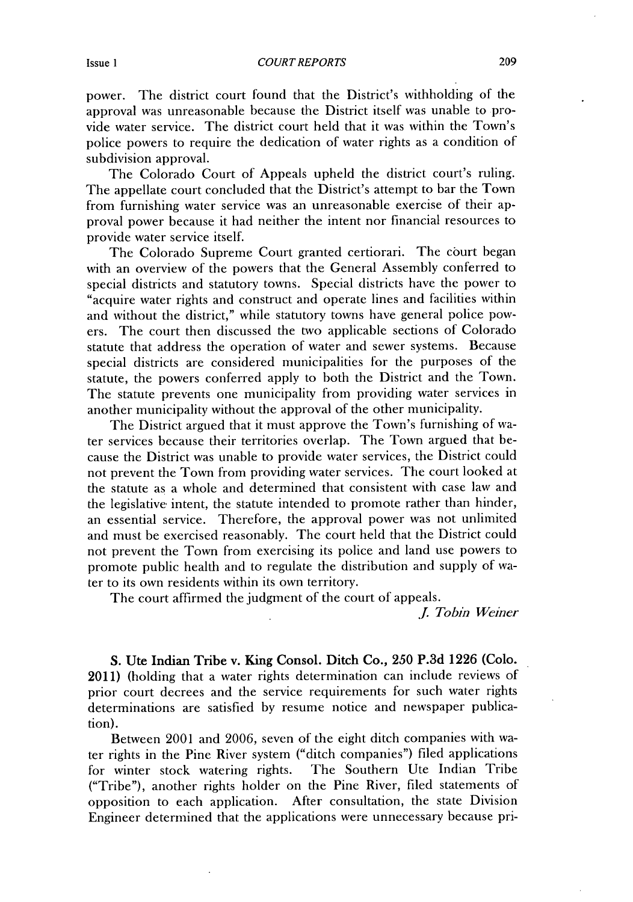power. The district court found that the District's withholding of the approval was unreasonable because the District itself was unable to provide water service. The district court held that it was within the Town's police powers to require the dedication of water rights as a condition of subdivision approval.

The Colorado Court of Appeals upheld the district court's ruling. The appellate court concluded that the District's attempt to bar the Town from furnishing water service was an unreasonable exercise of their approval power because it had neither the intent nor financial resources to provide water service itself.

The Colorado Supreme Court granted certiorari. The court began with an overview of the powers that the General Assembly conferred to special districts and statutory towns. Special districts have the power to "acquire water rights and construct and operate lines and facilities within and without the district," while statutory towns have general police powers. The court then discussed the two applicable sections of Colorado statute that address the operation of water and sewer systems. Because special districts are considered municipalities for the purposes of the statute, the powers conferred apply to both the District and the Town. The statute prevents one municipality from providing water services in another municipality without the approval of the other municipality.

The District argued that it must approve the Town's furnishing of water services because their territories overlap. The Town argued that because the District was unable to provide water services, the District could not prevent the Town from providing water services. The court looked at the statute as a whole and determined that consistent with case law and the legislative intent, the statute intended to promote rather than hinder, an essential service. Therefore, the approval power was not unlimited and must **be** exercised reasonably. The court held that the District could not prevent the Town from exercising its police and land use powers to promote public health and to regulate the distribution and supply of water to its own residents within its own territory.

The court affirmed the judgment of the court of appeals.

*J. Tobin Weiner*

**S.** Ute **Indian Tribe v. King Consol. Ditch Co., 250 P.3d 1226 (Colo.** 2011) (holding that a water rights determination can include reviews of prior court decrees and the service requirements for such water rights determinations are satisfied **by** resume notice and newspaper publication).

Between 2001 and **2006,** seven of the eight ditch companies with water rights in the Pine River system ("ditch companies") filed applications for winter stock watering rights. The Southern Ute Indian Tribe ("Tribe"), another rights holder on the Pine River, filed statements of opposition to each application. After consultation, the state Division Engineer determined that the applications were unnecessary because pri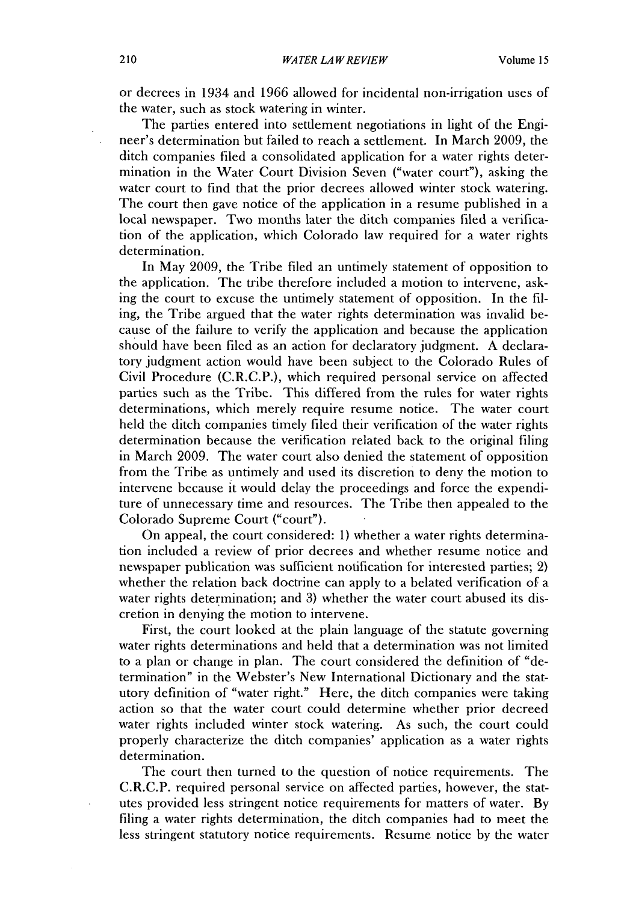or decrees in 1934 and **1966** allowed for incidental non-irrigation uses of the water, such as stock watering in winter.

The parties entered into settlement negotiations in light of the Engineer's determination but failed to reach a settlement. In March **2009,** the ditch companies filed a consolidated application for a water rights determination in the Water Court Division Seven ("water court"), asking the water court to find that the prior decrees allowed winter stock watering. The court then gave notice of the application in a resume published in a local newspaper. Two months later the ditch companies filed a verification of the application, which Colorado law required for a water rights determination.

In May **2009,** the Tribe filed an untimely statement of opposition to the application. The tribe therefore included a motion to intervene, asking the court to excuse the untimely statement of opposition. In the **fil**ing, the Tribe argued that the water rights determination was invalid because of the failure to verify the application and because the application should have been **filed** as an action for declaratory judgment. **A** declaratory judgment action would have been subject to the Colorado Rules of Civil Procedure **(C.R.C.P.),** which required personal service on affected parties such as the Tribe. This differed from the rules for water rights determinations, which merely require resume notice. The water court held the ditch companies timely **filed** their verification of the water rights determination because the verification related back to the original filing in March **2009.** The water court also denied the statement of opposition from the Tribe as untimely and used its discretion to deny the motion to intervene because it would delay the proceedings and force the expenditure of unnecessary time and resources. The Tribe then appealed to the Colorado Supreme Court ("court").

On appeal, the court considered: **1)** whether a water rights determination included a review of prior decrees and whether resume notice and newspaper publication was sufficient notification for interested parties; 2) whether the relation back doctrine can apply to a belated verification of a water rights determination; and **3)** whether the water court abused its **dis**cretion in denying the motion to intervene.

First, the court looked at the plain language of the statute governing water rights determinations and **held** that a determination was not limited to a plan or change in plan. The court considered the definition of "determination" in the Webster's New International Dictionary and the statutory definition of "water right." Here, the ditch companies were taking action so that the water court could determine whether prior decreed water rights included winter stock watering. As such, the court could properly characterize the ditch companies' application as a water rights determination.

The court then turned to the question of notice **requirements. The** C.R.C.P. required personal service on affected parties, however, the statutes provided less stringent notice requirements for matters of water. **By** filing a water rights determination, the ditch companies had to meet the less stringent statutory notice requirements. Resume notice **by** the water